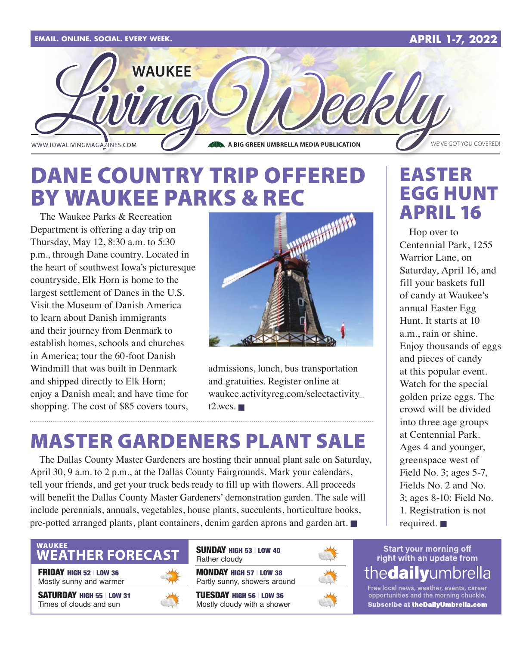

### DANE COUNTRY TRIP OFFERED BY WAUKEE PARKS & REC

The Waukee Parks & Recreation Department is offering a day trip on Thursday, May 12, 8:30 a.m. to 5:30 p.m., through Dane country. Located in the heart of southwest Iowa's picturesque countryside, Elk Horn is home to the largest settlement of Danes in the U.S. Visit the Museum of Danish America to learn about Danish immigrants and their journey from Denmark to establish homes, schools and churches in America; tour the 60-foot Danish Windmill that was built in Denmark and shipped directly to Elk Horn; enjoy a Danish meal; and have time for shopping. The cost of \$85 covers tours,



admissions, lunch, bus transportation and gratuities. Register online at [waukee.activityreg.com/selectactivity\\_](http://waukee.activityreg.com/selectactivity_t2.wcs) [t2.wcs](http://waukee.activityreg.com/selectactivity_t2.wcs).  $\blacksquare$ 

### MASTER GARDENERS PLANT SALE

The Dallas County Master Gardeners are hosting their annual plant sale on Saturday, April 30, 9 a.m. to 2 p.m., at the Dallas County Fairgrounds. Mark your calendars, tell your friends, and get your truck beds ready to fill up with flowers. All proceeds will benefit the Dallas County Master Gardeners' demonstration garden. The sale will include perennials, annuals, vegetables, house plants, succulents, horticulture books, pre-potted arranged plants, plant containers, denim garden aprons and garden art.  $\blacksquare$ 

### **WEATHER FORECAST**

FRIDAY HIGH 52 | LOW 36 Mostly sunny and warmer

SATURDAY HIGH 55 | LOW 31 Times of clouds and sun



SUNDAY HIGH 53 | LOW 40 Rather cloudy

MONDAY HIGH 57 | LOW 38 Partly sunny, showers around

TUESDAY HIGH 56 | LOW 36 Mostly cloudy with a shower



### EASTER EGG HUNT APRIL 16

Hop over to Centennial Park, 1255 Warrior Lane, on Saturday, April 16, and fill your baskets full of candy at Waukee's annual Easter Egg Hunt. It starts at 10 a.m., rain or shine. Enjoy thousands of eggs and pieces of candy at this popular event. Watch for the special golden prize eggs. The crowd will be divided into three age groups at Centennial Park. Ages 4 and younger, greenspace west of Field No. 3; ages 5-7, Fields No. 2 and No. 3; ages 8-10: Field No. 1. Registration is not required.  $\blacksquare$ 

#### **Start your morning off** right with an update from the**dailv**umbrella

Free local news, weather, events, career<br>opportunities and the morning chuckle. Subscribe at theDailyUmbrella.com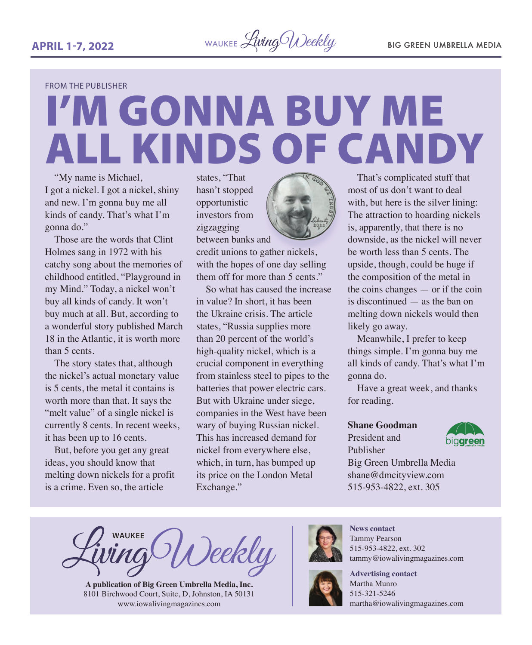

FROM THE PUBLISHER

# I'M GONNA BUY ME ALL KINDS OF CANDY

"My name is Michael, I got a nickel. I got a nickel, shiny and new. I'm gonna buy me all kinds of candy. That's what I'm gonna do."

Those are the words that Clint Holmes sang in 1972 with his catchy song about the memories of childhood entitled, "Playground in my Mind." Today, a nickel won't buy all kinds of candy. It won't buy much at all. But, according to a wonderful story published March 18 in the Atlantic, it is worth more than 5 cents.

The story states that, although the nickel's actual monetary value is 5 cents, the metal it contains is worth more than that. It says the "melt value" of a single nickel is currently 8 cents. In recent weeks, it has been up to 16 cents.

But, before you get any great ideas, you should know that melting down nickels for a profit is a crime. Even so, the article

states, "That hasn't stopped opportunistic investors from zigzagging between banks and

credit unions to gather nickels, with the hopes of one day selling them off for more than 5 cents."

So what has caused the increase in value? In short, it has been the Ukraine crisis. The article states, "Russia supplies more than 20 percent of the world's high-quality nickel, which is a crucial component in everything from stainless steel to pipes to the batteries that power electric cars. But with Ukraine under siege, companies in the West have been wary of buying Russian nickel. This has increased demand for nickel from everywhere else, which, in turn, has bumped up its price on the London Metal Exchange."



That's complicated stuff that most of us don't want to deal with, but here is the silver lining: The attraction to hoarding nickels is, apparently, that there is no downside, as the nickel will never be worth less than 5 cents. The upside, though, could be huge if the composition of the metal in the coins changes — or if the coin is discontinued — as the ban on melting down nickels would then likely go away.

Meanwhile, I prefer to keep things simple. I'm gonna buy me all kinds of candy. That's what I'm gonna do.

Have a great week, and thanks for reading.

#### **Shane Goodman**

President and Publisher



Big Green Umbrella Media shane@dmcityview.com 515-953-4822, ext. 305

**WAUKEE** Deekly

**A publication of Big Green Umbrella Media, Inc.** 8101 Birchwood Court, Suite, D, Johnston, IA 50131 [www.iowalivingmagazines.com](http://www.iowalivingmagazines.com)



**News contact** Tammy Pearson 515-953-4822, ext. 302 [tammy@iowalivingmagazines.com](mailto:tammy@iowalivingmagazines.com)



**Advertising contact** Martha Munro 515-321-5246 [martha@iowalivingmagazines.com](mailto:martha@iowalivingmagazines.com)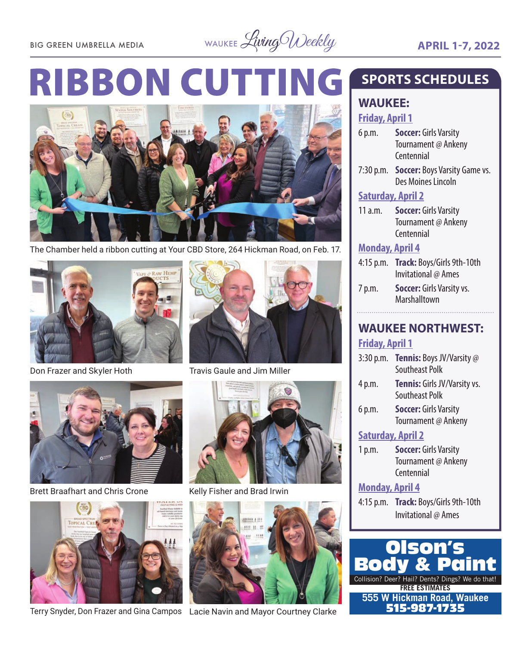BIG GREEN UMBRELLA MEDIA WAUKEE *Living Weekly* **APRIL 1-7, 2022** 

### **RIBBON CUTT NG**



The Chamber held a ribbon cutting at Your CBD Store, 264 Hickman Road, on Feb. 17.



Don Frazer and Skyler Hoth Travis Gaule and Jim Miller



Brett Braafhart and Chris Crone Kelly Fisher and Brad Irwin



Terry Snyder, Don Frazer and Gina Campos Lacie Navin and Mayor Courtney Clarke 515-987-1735







### **SPORTS SCHEDULES**

#### **WAUKEE: Friday, April 1**

- 6 p.m. **Soccer:** Girls Varsity Tournament @ Ankeny Centennial
- 7:30 p.m. **Soccer:** Boys Varsity Game vs. Des Moines Lincoln

#### **Saturday, April 2**

11 a.m. **Soccer:** Girls Varsity Tournament @ Ankeny Centennial

#### **Monday, April 4**

- 4:15 p.m. **Track:** Boys/Girls 9th-10th Invitational @ Ames
- 7 p.m. **Soccer:** Girls Varsity vs. Marshalltown

#### **WAUKEE NORTHWEST: Friday, April 1**

| $3:30$ p.m.              | Tennis: Boys JV/Varsity @    |
|--------------------------|------------------------------|
|                          | <b>Southeast Polk</b>        |
| 4 p.m.                   | Tennis: Girls JV/Varsity vs. |
|                          | Southeast Polk               |
| 6 p.m.                   | <b>Soccer: Girls Varsity</b> |
|                          | Tournament @ Ankeny          |
| <b>Saturday, April 2</b> |                              |

1 p.m. **Soccer:** Girls Varsity Tournament @ Ankeny Centennial

#### **Monday, April 4**

4:15 p.m. **Track:** Boys/Girls 9th-10th Invitational @ Ames

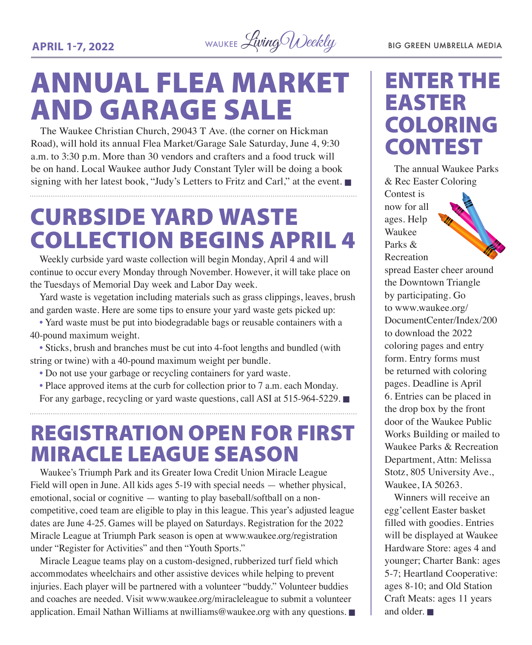

## ANNUAL FLEA MARKET AND GARAGE SALE

The Waukee Christian Church, 29043 T Ave. (the corner on Hickman Road), will hold its annual Flea Market/Garage Sale Saturday, June 4, 9:30 a.m. to 3:30 p.m. More than 30 vendors and crafters and a food truck will be on hand. Local Waukee author Judy Constant Tyler will be doing a book signing with her latest book, "Judy's Letters to Fritz and Carl," at the event.

## CURBSIDE YARD WASTE COLLECTION BEGINS APRIL 4

Weekly curbside yard waste collection will begin Monday, April 4 and will continue to occur every Monday through November. However, it will take place on the Tuesdays of Memorial Day week and Labor Day week.

Yard waste is vegetation including materials such as grass clippings, leaves, brush and garden waste. Here are some tips to ensure your yard waste gets picked up:

• Yard waste must be put into biodegradable bags or reusable containers with a 40-pound maximum weight.

• Sticks, brush and branches must be cut into 4-foot lengths and bundled (with string or twine) with a 40-pound maximum weight per bundle.

- Do not use your garbage or recycling containers for yard waste.
- Place approved items at the curb for collection prior to 7 a.m. each Monday. For any garbage, recycling or yard waste questions, call ASI at 515-964-5229.  $\blacksquare$

### REGISTRATION OPEN FOR FIRST MIRACLE LEAGUE SEASON

Waukee's Triumph Park and its Greater Iowa Credit Union Miracle League Field will open in June. All kids ages 5-19 with special needs — whether physical, emotional, social or cognitive — wanting to play baseball/softball on a noncompetitive, coed team are eligible to play in this league. This year's adjusted league dates are June 4-25. Games will be played on Saturdays. Registration for the 2022 Miracle League at Triumph Park season is open at [www.waukee.org/registration](http://www.waukee.org/registration)  under "Register for Activities" and then "Youth Sports."

Miracle League teams play on a custom-designed, rubberized turf field which accommodates wheelchairs and other assistive devices while helping to prevent injuries. Each player will be partnered with a volunteer "buddy." Volunteer buddies and coaches are needed. Visit [www.waukee.org/miracleleague](http://www.waukee.org/miracleleague) to submit a volunteer application. Email Nathan Williams at [nwilliams@waukee.org](mailto:nwilliams@waukee.org) with any questions.  $\blacksquare$ 

### ENTER THE EASTER COLORING CONTEST

The annual Waukee Parks & Rec Easter Coloring

Contest is now for all ages. Help Waukee Parks & Recreation



spread Easter cheer around the Downtown Triangle by participating. Go to [www.waukee.org/](http://www.waukee.org/DocumentCenter/Index/200) [DocumentCenter/Index/200](http://www.waukee.org/DocumentCenter/Index/200) to download the 2022 coloring pages and entry form. Entry forms must be returned with coloring pages. Deadline is April 6. Entries can be placed in the drop box by the front door of the Waukee Public Works Building or mailed to Waukee Parks & Recreation Department, Attn: Melissa Stotz, 805 University Ave., Waukee, IA 50263.

Winners will receive an egg'cellent Easter basket filled with goodies. Entries will be displayed at Waukee Hardware Store: ages 4 and younger; Charter Bank: ages 5-7; Heartland Cooperative: ages 8-10; and Old Station Craft Meats: ages 11 years and older.  $\blacksquare$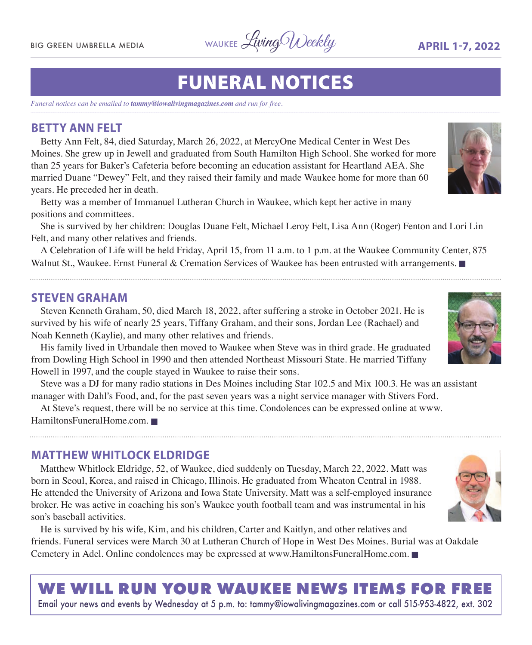BIG GREEN UMBRELLA MEDIA WAUKEE Living Weekly **APRIL 1-7, 2022** 

## FUNERAL NOTICES

*Funeral notices can be emailed to tammy@iowalivingmagazines.com and run for free.*

#### **BETTY ANN FELT**

Betty Ann Felt, 84, died Saturday, March 26, 2022, at MercyOne Medical Center in West Des Moines. She grew up in Jewell and graduated from South Hamilton High School. She worked for more than 25 years for Baker's Cafeteria before becoming an education assistant for Heartland AEA. She married Duane "Dewey" Felt, and they raised their family and made Waukee home for more than 60 years. He preceded her in death.

Betty was a member of Immanuel Lutheran Church in Waukee, which kept her active in many positions and committees.

She is survived by her children: Douglas Duane Felt, Michael Leroy Felt, Lisa Ann (Roger) Fenton and Lori Lin Felt, and many other relatives and friends.

A Celebration of Life will be held Friday, April 15, from 11 a.m. to 1 p.m. at the Waukee Community Center, 875 Walnut St., Waukee. Ernst Funeral & Cremation Services of Waukee has been entrusted with arrangements.

#### **STEVEN GRAHAM**

Steven Kenneth Graham, 50, died March 18, 2022, after suffering a stroke in October 2021. He is survived by his wife of nearly 25 years, Tiffany Graham, and their sons, Jordan Lee (Rachael) and Noah Kenneth (Kaylie), and many other relatives and friends.

His family lived in Urbandale then moved to Waukee when Steve was in third grade. He graduated from Dowling High School in 1990 and then attended Northeast Missouri State. He married Tiffany Howell in 1997, and the couple stayed in Waukee to raise their sons.

Steve was a DJ for many radio stations in Des Moines including Star 102.5 and Mix 100.3. He was an assistant manager with Dahl's Food, and, for the past seven years was a night service manager with Stivers Ford.

At Steve's request, there will be no service at this time. Condolences can be expressed online at [www.](http://www.HamiltonsFuneralHome.com) [HamiltonsFuneralHome.com](http://www.HamiltonsFuneralHome.com).

#### **MATTHEW WHITLOCK ELDRIDGE**

Matthew Whitlock Eldridge, 52, of Waukee, died suddenly on Tuesday, March 22, 2022. Matt was born in Seoul, Korea, and raised in Chicago, Illinois. He graduated from Wheaton Central in 1988. He attended the University of Arizona and Iowa State University. Matt was a self-employed insurance broker. He was active in coaching his son's Waukee youth football team and was instrumental in his son's baseball activities.

He is survived by his wife, Kim, and his children, Carter and Kaitlyn, and other relatives and friends. Funeral services were March 30 at Lutheran Church of Hope in West Des Moines. Burial was at Oakdale Cemetery in Adel. Online condolences may be expressed at [www.HamiltonsFuneralHome.com](http://www.HamiltonsFuneralHome.com).

### **WE WILL RUN YOUR WAUKEE NEWS ITEMS FOR FREE**

Email your news and events by Wednesday at 5 p.m. to: [tammy@iowalivingmagazines.com](mailto:tammy@iowalivingmagazines.com) or call 515-953-4822, ext. 302





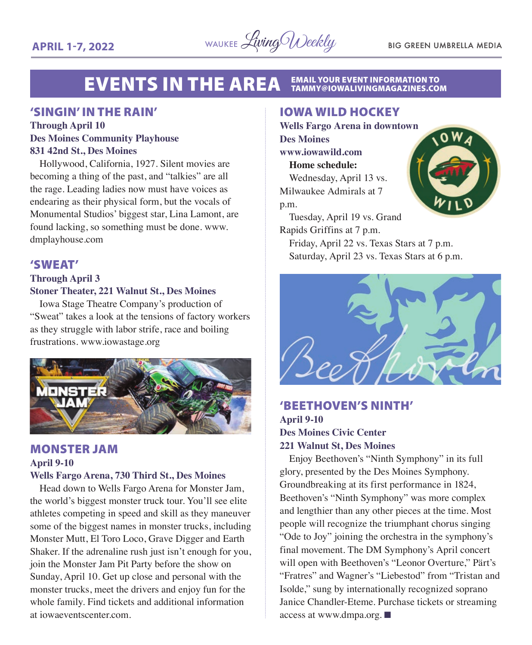#### **EVENTS IN THE AREA EMAIL YOUR EVENT INFORMATION TO<br>TAMMY@IOWALIVINGMAGAZINES.COM**

#### 'SINGIN' IN THE RAIN'

#### **Through April 10 Des Moines Community Playhouse 831 42nd St., Des Moines**

Hollywood, California, 1927. Silent movies are becoming a thing of the past, and "talkies" are all the rage. Leading ladies now must have voices as endearing as their physical form, but the vocals of Monumental Studios' biggest star, Lina Lamont, are found lacking, so something must be done. www. dmplayhouse.com

#### 'SWEAT'

#### **Through April 3 Stoner Theater, 221 Walnut St., Des Moines**

Iowa Stage Theatre Company's production of "Sweat" takes a look at the tensions of factory workers as they struggle with labor strife, race and boiling frustrations. www.iowastage.org



#### MONSTER JAM **April 9-10 Wells Fargo Arena, 730 Third St., Des Moines**

Head down to Wells Fargo Arena for Monster Jam, the world's biggest monster truck tour. You'll see elite athletes competing in speed and skill as they maneuver some of the biggest names in monster trucks, including Monster Mutt, El Toro Loco, Grave Digger and Earth Shaker. If the adrenaline rush just isn't enough for you, join the Monster Jam Pit Party before the show on Sunday, April 10. Get up close and personal with the monster trucks, meet the drivers and enjoy fun for the whole family. Find tickets and additional information at iowaeventscenter.com.

#### IOWA WILD HOCKEY

**Wells Fargo Arena in downtown Des Moines www.iowawild.com Home schedule:** Wednesday, April 13 vs.

Milwaukee Admirals at 7 p.m.

Tuesday, April 19 vs. Grand Rapids Griffins at 7 p.m.

Friday, April 22 vs. Texas Stars at 7 p.m. Saturday, April 23 vs. Texas Stars at 6 p.m.



#### 'BEETHOVEN'S NINTH' **April 9-10 Des Moines Civic Center**

#### **221 Walnut St, Des Moines**

Enjoy Beethoven's "Ninth Symphony" in its full glory, presented by the Des Moines Symphony. Groundbreaking at its first performance in 1824, Beethoven's "Ninth Symphony" was more complex and lengthier than any other pieces at the time. Most people will recognize the triumphant chorus singing "Ode to Joy" joining the orchestra in the symphony's final movement. The DM Symphony's April concert will open with Beethoven's "Leonor Overture," Pärt's "Fratres" and Wagner's "Liebestod" from "Tristan and Isolde," sung by internationally recognized soprano Janice Chandler-Eteme. Purchase tickets or streaming access at www.dmpa.org.  $\blacksquare$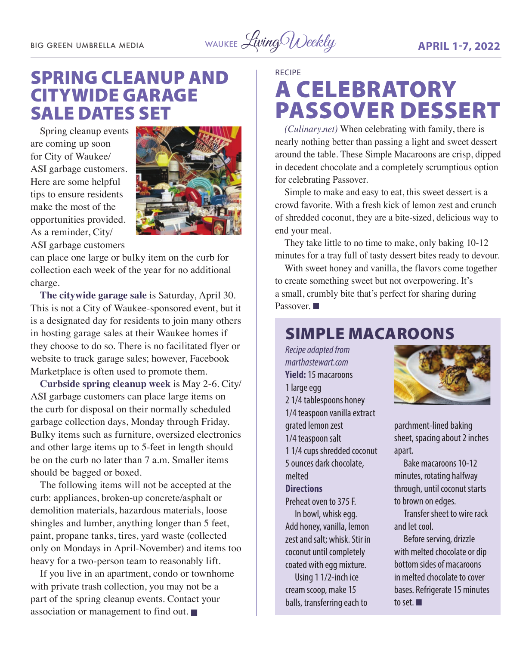BIG GREEN UMBRELLA MEDIA WAUKEE Living Weekly **APRIL 1-7, 2022** 

### SPRING CLEANUP AND CITYWIDE GARAGE SALE DATES SET

Spring cleanup events are coming up soon for City of Waukee/ ASI garbage customers. Here are some helpful tips to ensure residents make the most of the opportunities provided. As a reminder, City/ ASI garbage customers



can place one large or bulky item on the curb for collection each week of the year for no additional charge.

**The citywide garage sale** is Saturday, April 30. This is not a City of Waukee-sponsored event, but it is a designated day for residents to join many others in hosting garage sales at their Waukee homes if they choose to do so. There is no facilitated flyer or website to track garage sales; however, Facebook Marketplace is often used to promote them.

**Curbside spring cleanup week** is May 2-6. City/ ASI garbage customers can place large items on the curb for disposal on their normally scheduled garbage collection days, Monday through Friday. Bulky items such as furniture, oversized electronics and other large items up to 5-feet in length should be on the curb no later than 7 a.m. Smaller items should be bagged or boxed.

The following items will not be accepted at the curb: appliances, broken-up concrete/asphalt or demolition materials, hazardous materials, loose shingles and lumber, anything longer than 5 feet, paint, propane tanks, tires, yard waste (collected only on Mondays in April-November) and items too heavy for a two-person team to reasonably lift.

If you live in an apartment, condo or townhome with private trash collection, you may not be a part of the spring cleanup events. Contact your association or management to find out.  $\blacksquare$ 

RECIPE

### A CELEBRATORY PASSOVER DESSERT

*(Culinary.net)* When celebrating with family, there is nearly nothing better than passing a light and sweet dessert around the table. These Simple Macaroons are crisp, dipped in decedent chocolate and a completely scrumptious option for celebrating Passover.

Simple to make and easy to eat, this sweet dessert is a crowd favorite. With a fresh kick of lemon zest and crunch of shredded coconut, they are a bite-sized, delicious way to end your meal.

They take little to no time to make, only baking 10-12 minutes for a tray full of tasty dessert bites ready to devour.

With sweet honey and vanilla, the flavors come together to create something sweet but not overpowering. It's a small, crumbly bite that's perfect for sharing during Passover.

### SIMPLE MACAROONS

*Recipe adapted from marthastewart.com* **Yield:** 15 macaroons 1 large egg 2 1/4 tablespoons honey 1/4 teaspoon vanilla extract grated lemon zest 1/4 teaspoon salt 1 1/4 cups shredded coconut 5 ounces dark chocolate, melted **Directions** Preheat oven to 375 F. In bowl, whisk egg. Add honey, vanilla, lemon zest and salt; whisk. Stir in coconut until completely coated with egg mixture. Using 1 1/2-inch ice

cream scoop, make 15 balls, transferring each to



parchment-lined baking sheet, spacing about 2 inches apart.

Bake macaroons 10-12 minutes, rotating halfway through, until coconut starts to brown on edges.

Transfer sheet to wire rack and let cool.

Before serving, drizzle with melted chocolate or dip bottom sides of macaroons in melted chocolate to cover bases. Refrigerate 15 minutes to set.  $\blacksquare$